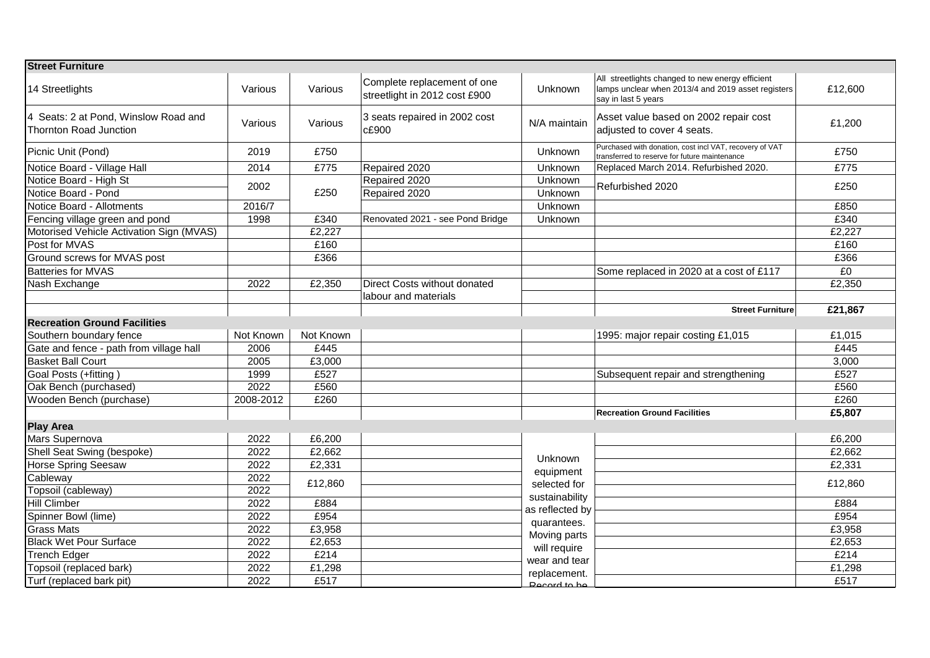| <b>Street Furniture</b>                                        |           |           |                                                              |                                             |                                                                                                                               |         |
|----------------------------------------------------------------|-----------|-----------|--------------------------------------------------------------|---------------------------------------------|-------------------------------------------------------------------------------------------------------------------------------|---------|
| 14 Streetlights                                                | Various   | Various   | Complete replacement of one<br>streetlight in 2012 cost £900 | <b>Unknown</b>                              | All streetlights changed to new energy efficient<br>lamps unclear when 2013/4 and 2019 asset registers<br>say in last 5 years | £12,600 |
| 4 Seats: 2 at Pond, Winslow Road and<br>Thornton Road Junction | Various   | Various   | 3 seats repaired in 2002 cost<br>c£900                       | N/A maintain                                | Asset value based on 2002 repair cost<br>adjusted to cover 4 seats.                                                           | £1,200  |
| Picnic Unit (Pond)                                             | 2019      | £750      |                                                              | Unknown                                     | Purchased with donation, cost incl VAT, recovery of VAT<br>transferred to reserve for future maintenance                      | £750    |
| Notice Board - Village Hall                                    | 2014      | £775      | Repaired 2020                                                | Unknown                                     | Replaced March 2014. Refurbished 2020.                                                                                        | £775    |
| Notice Board - High St                                         | 2002      | £250      | Repaired 2020                                                | Unknown                                     | Refurbished 2020                                                                                                              | £250    |
| Notice Board - Pond                                            |           |           | Repaired 2020                                                | Unknown                                     |                                                                                                                               |         |
| Notice Board - Allotments                                      | 2016/7    |           |                                                              | Unknown                                     |                                                                                                                               | £850    |
| Fencing village green and pond                                 | 1998      | £340      | Renovated 2021 - see Pond Bridge                             | Unknown                                     |                                                                                                                               | £340    |
| Motorised Vehicle Activation Sign (MVAS)                       |           | £2,227    |                                                              |                                             |                                                                                                                               | £2,227  |
| Post for MVAS                                                  |           | £160      |                                                              |                                             |                                                                                                                               | £160    |
| Ground screws for MVAS post                                    |           | £366      |                                                              |                                             |                                                                                                                               | £366    |
| <b>Batteries for MVAS</b>                                      |           |           |                                                              |                                             | Some replaced in 2020 at a cost of £117                                                                                       | £0      |
| Nash Exchange                                                  | 2022      | £2,350    | Direct Costs without donated                                 |                                             |                                                                                                                               | £2,350  |
|                                                                |           |           | labour and materials                                         |                                             |                                                                                                                               |         |
|                                                                |           |           |                                                              |                                             | Street Furniture                                                                                                              | £21,867 |
| <b>Recreation Ground Facilities</b>                            |           |           |                                                              |                                             |                                                                                                                               |         |
| Southern boundary fence                                        | Not Known | Not Known |                                                              |                                             | 1995: major repair costing £1,015                                                                                             | £1,015  |
| Gate and fence - path from village hall                        | 2006      | £445      |                                                              |                                             |                                                                                                                               | £445    |
| <b>Basket Ball Court</b>                                       | 2005      | £3,000    |                                                              |                                             |                                                                                                                               | 3,000   |
| Goal Posts (+fitting)                                          | 1999      | £527      |                                                              |                                             | Subsequent repair and strengthening                                                                                           | £527    |
| Oak Bench (purchased)                                          | 2022      | £560      |                                                              |                                             |                                                                                                                               | £560    |
| Wooden Bench (purchase)                                        | 2008-2012 | £260      |                                                              |                                             |                                                                                                                               | E260    |
|                                                                |           |           |                                                              |                                             | <b>Recreation Ground Facilities</b>                                                                                           | £5,807  |
| <b>Play Area</b>                                               |           |           |                                                              |                                             |                                                                                                                               |         |
| Mars Supernova                                                 | 2022      | £6,200    |                                                              |                                             |                                                                                                                               | £6,200  |
| Shell Seat Swing (bespoke)                                     | 2022      | £2,662    |                                                              |                                             |                                                                                                                               | £2,662  |
| <b>Horse Spring Seesaw</b>                                     | 2022      | £2,331    |                                                              | Unknown                                     |                                                                                                                               | £2,331  |
| Cableway                                                       | 2022      | £12,860   |                                                              | equipment<br>selected for<br>sustainability |                                                                                                                               | £12,860 |
| Topsoil (cableway)                                             | 2022      |           |                                                              |                                             |                                                                                                                               |         |
| <b>Hill Climber</b>                                            | 2022      | £884      |                                                              |                                             |                                                                                                                               | £884    |
| Spinner Bowl (lime)                                            | 2022      | £954      |                                                              | as reflected by<br>quarantees.              |                                                                                                                               | £954    |
| <b>Grass Mats</b>                                              | 2022      | £3,958    |                                                              | Moving parts                                |                                                                                                                               | £3,958  |
| <b>Black Wet Pour Surface</b>                                  | 2022      | £2,653    |                                                              | will require                                |                                                                                                                               | £2,653  |
| <b>Trench Edger</b>                                            | 2022      | £214      |                                                              | wear and tear                               |                                                                                                                               | £214    |
| Topsoil (replaced bark)                                        | 2022      | £1,298    |                                                              | replacement.                                |                                                                                                                               | £1,298  |
| Turf (replaced bark pit)                                       | 2022      | £517      |                                                              | <b>Docard to be</b>                         |                                                                                                                               | £517    |